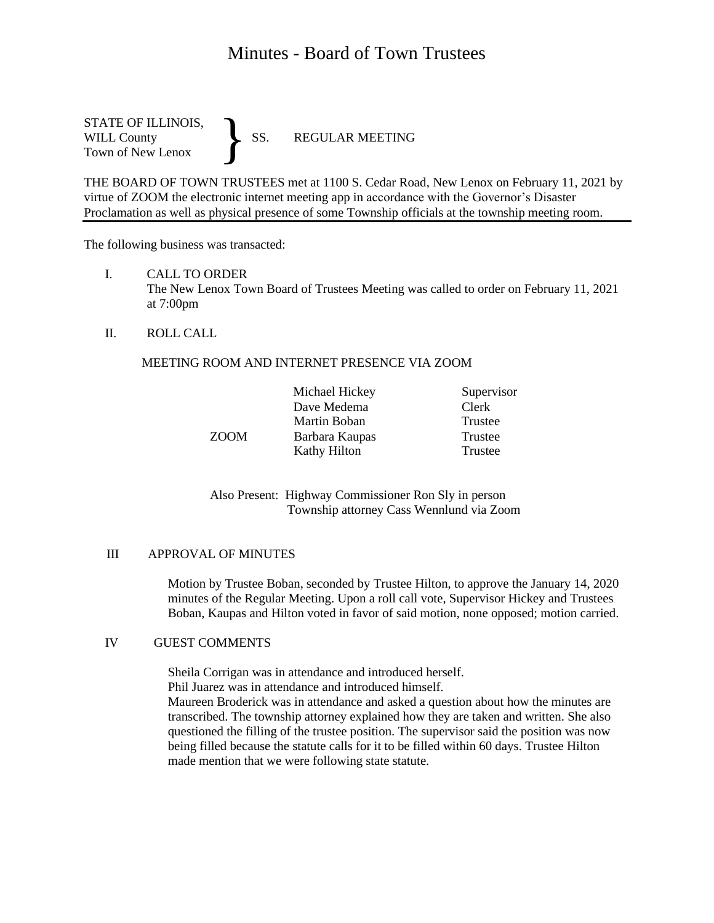# Minutes - Board of Town Trustees

STATE OF ILLINOIS,<br>WILL County SS. WILL County SS. REGULAR MEETING Town of New Lenox }

THE BOARD OF TOWN TRUSTEES met at 1100 S. Cedar Road, New Lenox on February 11, 2021 by virtue of ZOOM the electronic internet meeting app in accordance with the Governor's Disaster Proclamation as well as physical presence of some Township officials at the township meeting room.

The following business was transacted:

- I. CALL TO ORDER The New Lenox Town Board of Trustees Meeting was called to order on February 11, 2021 at 7:00pm
- II. ROLL CALL

## MEETING ROOM AND INTERNET PRESENCE VIA ZOOM

| Michael Hickey | Supervisor |
|----------------|------------|
| Dave Medema    | Clerk      |
| Martin Boban   | Trustee    |
| Barbara Kaupas | Trustee    |
| Kathy Hilton   | Trustee    |
|                |            |

Also Present: Highway Commissioner Ron Sly in person Township attorney Cass Wennlund via Zoom

#### III APPROVAL OF MINUTES

Motion by Trustee Boban, seconded by Trustee Hilton, to approve the January 14, 2020 minutes of the Regular Meeting. Upon a roll call vote, Supervisor Hickey and Trustees Boban, Kaupas and Hilton voted in favor of said motion, none opposed; motion carried.

## IV GUEST COMMENTS

Sheila Corrigan was in attendance and introduced herself.

Phil Juarez was in attendance and introduced himself.

Maureen Broderick was in attendance and asked a question about how the minutes are transcribed. The township attorney explained how they are taken and written. She also questioned the filling of the trustee position. The supervisor said the position was now being filled because the statute calls for it to be filled within 60 days. Trustee Hilton made mention that we were following state statute.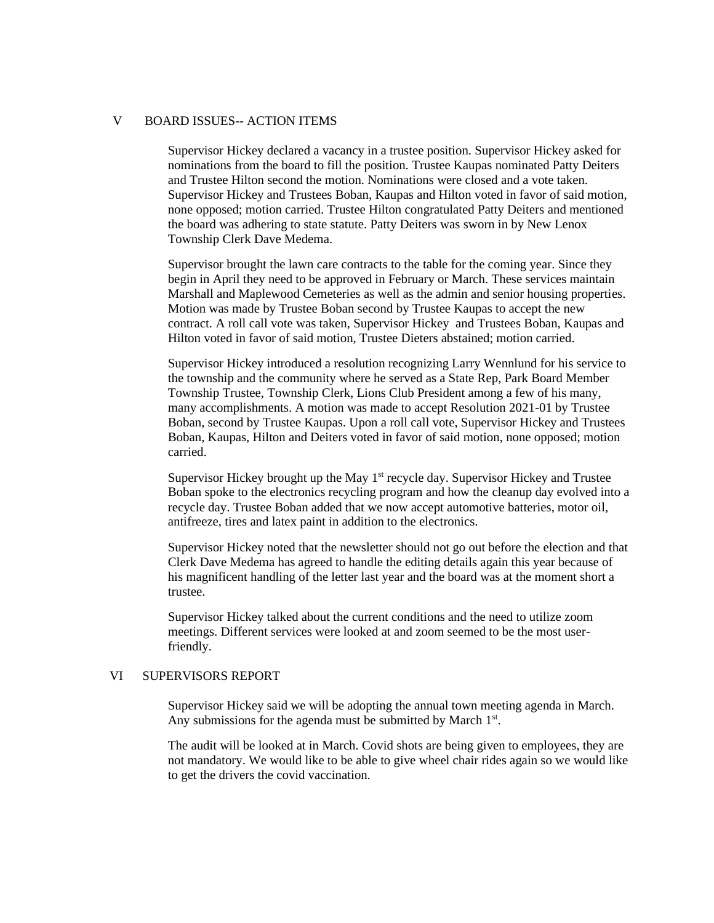#### V BOARD ISSUES-- ACTION ITEMS

Supervisor Hickey declared a vacancy in a trustee position. Supervisor Hickey asked for nominations from the board to fill the position. Trustee Kaupas nominated Patty Deiters and Trustee Hilton second the motion. Nominations were closed and a vote taken. Supervisor Hickey and Trustees Boban, Kaupas and Hilton voted in favor of said motion, none opposed; motion carried. Trustee Hilton congratulated Patty Deiters and mentioned the board was adhering to state statute. Patty Deiters was sworn in by New Lenox Township Clerk Dave Medema.

Supervisor brought the lawn care contracts to the table for the coming year. Since they begin in April they need to be approved in February or March. These services maintain Marshall and Maplewood Cemeteries as well as the admin and senior housing properties. Motion was made by Trustee Boban second by Trustee Kaupas to accept the new contract. A roll call vote was taken, Supervisor Hickey and Trustees Boban, Kaupas and Hilton voted in favor of said motion, Trustee Dieters abstained; motion carried.

Supervisor Hickey introduced a resolution recognizing Larry Wennlund for his service to the township and the community where he served as a State Rep, Park Board Member Township Trustee, Township Clerk, Lions Club President among a few of his many, many accomplishments. A motion was made to accept Resolution 2021-01 by Trustee Boban, second by Trustee Kaupas. Upon a roll call vote, Supervisor Hickey and Trustees Boban, Kaupas, Hilton and Deiters voted in favor of said motion, none opposed; motion carried.

Supervisor Hickey brought up the May  $1<sup>st</sup>$  recycle day. Supervisor Hickey and Trustee Boban spoke to the electronics recycling program and how the cleanup day evolved into a recycle day. Trustee Boban added that we now accept automotive batteries, motor oil, antifreeze, tires and latex paint in addition to the electronics.

Supervisor Hickey noted that the newsletter should not go out before the election and that Clerk Dave Medema has agreed to handle the editing details again this year because of his magnificent handling of the letter last year and the board was at the moment short a trustee.

Supervisor Hickey talked about the current conditions and the need to utilize zoom meetings. Different services were looked at and zoom seemed to be the most userfriendly.

## VI SUPERVISORS REPORT

Supervisor Hickey said we will be adopting the annual town meeting agenda in March. Any submissions for the agenda must be submitted by March  $1<sup>st</sup>$ .

The audit will be looked at in March. Covid shots are being given to employees, they are not mandatory. We would like to be able to give wheel chair rides again so we would like to get the drivers the covid vaccination.